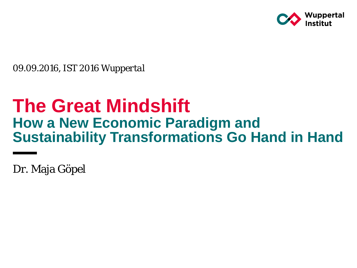

*09.09.2016, IST 2016 Wuppertal* 

# **The Great Mindshift How a New Economic Paradigm and Sustainability Transformations Go Hand in Hand**

Dr. Maja Göpel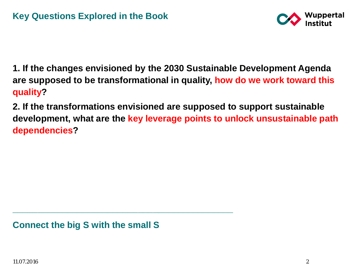

**1. If the changes envisioned by the 2030 Sustainable Development Agenda are supposed to be transformational in quality, how do we work toward this quality?**

**2. If the transformations envisioned are supposed to support sustainable development, what are the key leverage points to unlock unsustainable path dependencies?** 

**Connect the big S with the small S**

**\_\_\_\_\_\_\_\_\_\_\_\_\_\_\_\_\_\_\_\_\_\_\_\_\_\_\_\_\_\_\_\_\_\_\_\_\_\_\_\_\_\_\_\_**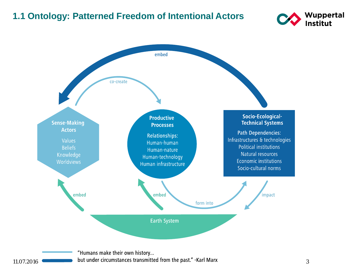#### **1.1 Ontology: Patterned Freedom of Intentional Actors**





"Humans make their own history... 11.07.2016 **State of the U.S. Equation State of the U.S. Equation** but under circumstances transmitted from the past." -Karl Marx 3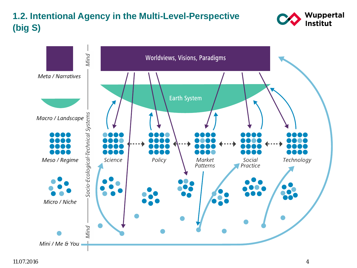## **1.2. Intentional Agency in the Multi-Level-Perspective (big S)**



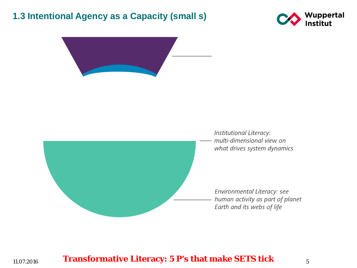#### **1.3 Intentional Agency as a Capacity (small s)**





Institutional Literacy: multi-dimensional view on what drives system dynamics

Environmental Literacy: see human activity as part of planet Earth and its webs of life

11.07.2016 **Transformative Literacy: 5 P's that make SETS tick** <sup>5</sup>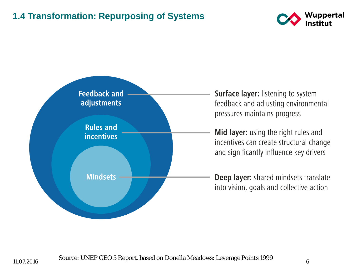#### **1.4 Transformation: Repurposing of Systems**





**Surface layer: listening to system** feedback and adjusting environmental pressures maintains progress

Mid layer: using the right rules and incentives can create structural change and significantly influence key drivers

Deep layer: shared mindsets translate into vision, goals and collective action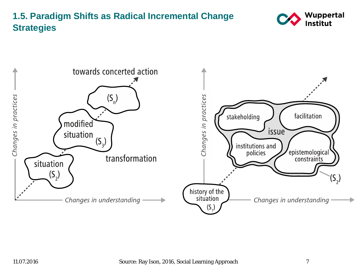## **1.5. Paradigm Shifts as Radical Incremental Change Strategies**



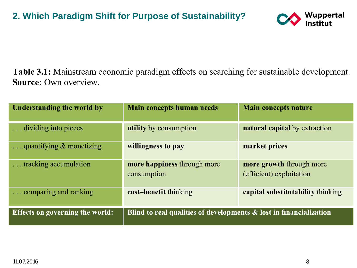

Table 3.1: Mainstream economic paradigm effects on searching for sustainable development. Source: Own overview.

| Understanding the world by             | Main concepts human needs                                          | <b>Main concepts nature</b>                          |
|----------------------------------------|--------------------------------------------------------------------|------------------------------------------------------|
| dividing into pieces                   | <b>utility</b> by consumption                                      | <b>natural capital</b> by extraction                 |
| $\ldots$ quantifying $\&$ monetizing   | willingness to pay                                                 | market prices                                        |
| tracking accumulation                  | more happiness through more<br>consumption                         | more growth through more<br>(efficient) exploitation |
| comparing and ranking                  | cost-benefit thinking                                              | capital substitutability thinking                    |
| <b>Effects on governing the world:</b> | Blind to real qualities of developments & lost in financialization |                                                      |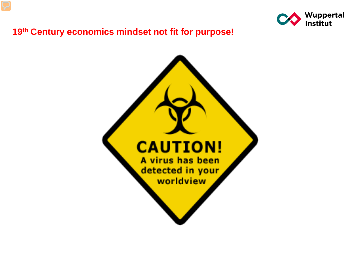

#### **19th Century economics mindset not fit for purpose!**

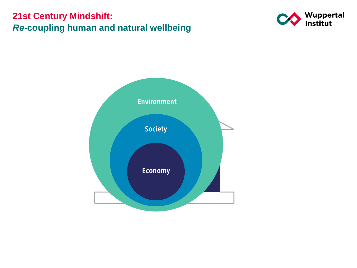## **21st Century Mindshift:**  *Re***-coupling human and natural wellbeing**



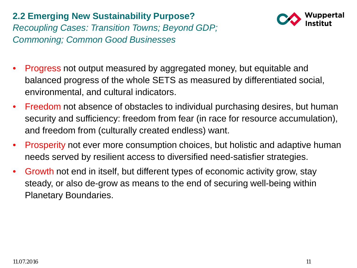## **2.2 Emerging New Sustainability Purpose?**  *Recoupling Cases: Transition Towns; Beyond GDP; Commoning; Common Good Businesses*



- Progress not output measured by aggregated money, but equitable and balanced progress of the whole SETS as measured by differentiated social, environmental, and cultural indicators.
- Freedom not absence of obstacles to individual purchasing desires, but human security and sufficiency: freedom from fear (in race for resource accumulation), and freedom from (culturally created endless) want.
- Prosperity not ever more consumption choices, but holistic and adaptive human needs served by resilient access to diversified need-satisfier strategies.
- Growth not end in itself, but different types of economic activity grow, stay steady, or also de-grow as means to the end of securing well-being within Planetary Boundaries.